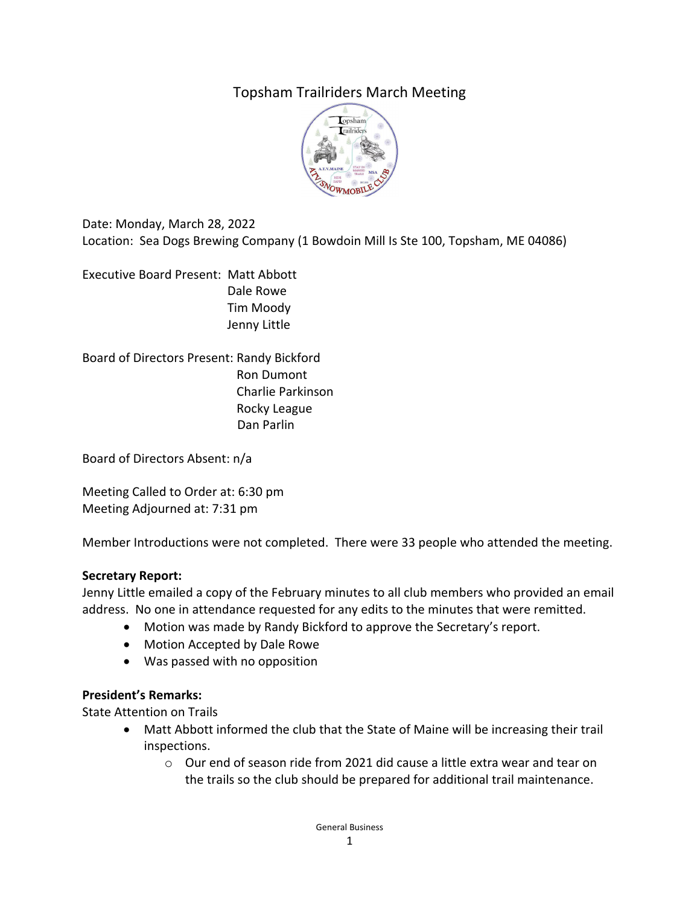# Topsham Trailriders March Meeting



Date: Monday, March 28, 2022 Location: Sea Dogs Brewing Company (1 Bowdoin Mill Is Ste 100, Topsham, ME 04086)

Executive Board Present: Matt Abbott Dale Rowe Tim Moody Jenny Little

Board of Directors Present: Randy Bickford Ron Dumont Charlie Parkinson Rocky League Dan Parlin

Board of Directors Absent: n/a

Meeting Called to Order at: 6:30 pm Meeting Adjourned at: 7:31 pm

Member Introductions were not completed. There were 33 people who attended the meeting.

#### **Secretary Report:**

Jenny Little emailed a copy of the February minutes to all club members who provided an email address. No one in attendance requested for any edits to the minutes that were remitted.

- Motion was made by Randy Bickford to approve the Secretary's report.
- Motion Accepted by Dale Rowe
- Was passed with no opposition

#### **President's Remarks:**

State Attention on Trails

- Matt Abbott informed the club that the State of Maine will be increasing their trail inspections.
	- o Our end of season ride from 2021 did cause a little extra wear and tear on the trails so the club should be prepared for additional trail maintenance.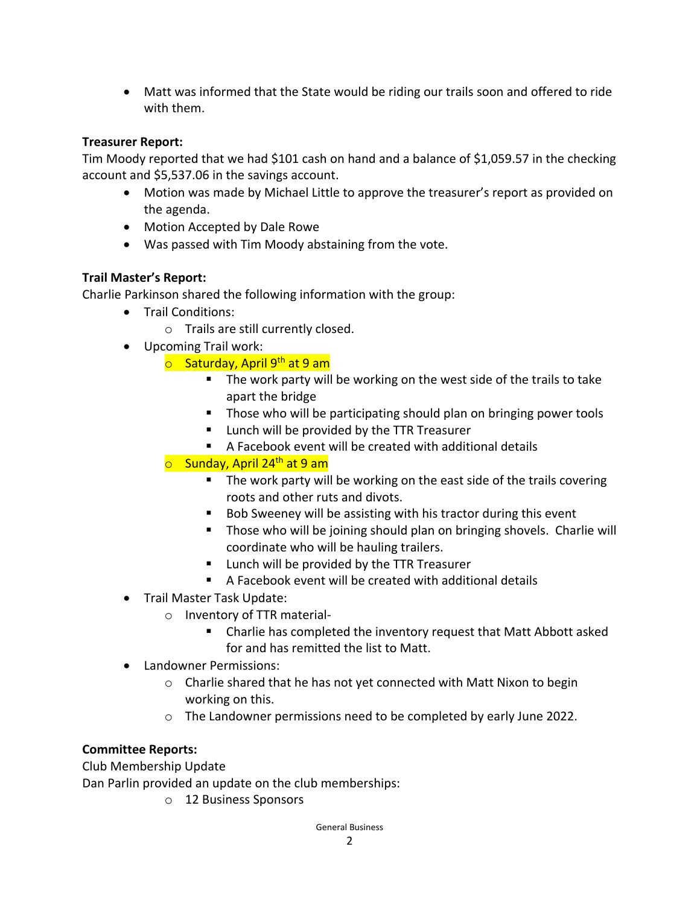Matt was informed that the State would be riding our trails soon and offered to ride with them.

### **Treasurer Report:**

Tim Moody reported that we had \$101 cash on hand and a balance of \$1,059.57 in the checking account and \$5,537.06 in the savings account.

- Motion was made by Michael Little to approve the treasurer's report as provided on the agenda.
- Motion Accepted by Dale Rowe
- Was passed with Tim Moody abstaining from the vote.

## **Trail Master's Report:**

Charlie Parkinson shared the following information with the group:

- Trail Conditions:
	- o Trails are still currently closed.
- Upcoming Trail work:
	- **o** Saturday, April 9<sup>th</sup> at 9 am
		- The work party will be working on the west side of the trails to take apart the bridge
		- **Those who will be participating should plan on bringing power tools**
		- **Lunch will be provided by the TTR Treasurer**
		- A Facebook event will be created with additional details
	- $\circ$  Sunday, April 24<sup>th</sup> at 9 am
		- The work party will be working on the east side of the trails covering roots and other ruts and divots.
		- Bob Sweeney will be assisting with his tractor during this event
		- **Those who will be joining should plan on bringing shovels. Charlie will** coordinate who will be hauling trailers.
		- **Lunch will be provided by the TTR Treasurer**
		- A Facebook event will be created with additional details
- Trail Master Task Update:
	- o Inventory of TTR material‐
		- Charlie has completed the inventory request that Matt Abbott asked for and has remitted the list to Matt.
- Landowner Permissions:
	- o Charlie shared that he has not yet connected with Matt Nixon to begin working on this.
	- o The Landowner permissions need to be completed by early June 2022.

### **Committee Reports:**

Club Membership Update

Dan Parlin provided an update on the club memberships:

o 12 Business Sponsors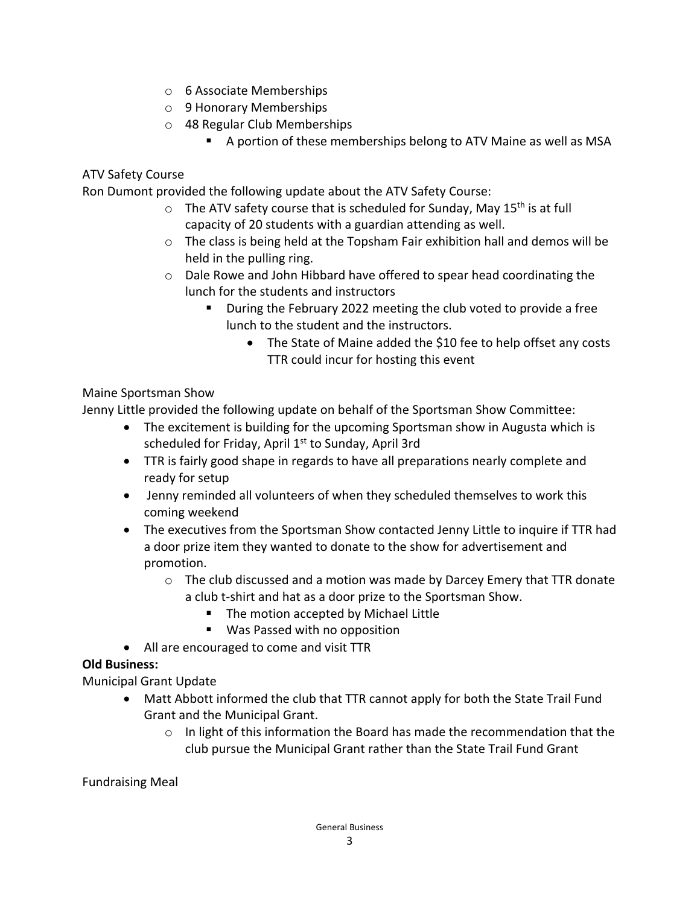- o 6 Associate Memberships
- o 9 Honorary Memberships
- o 48 Regular Club Memberships
	- A portion of these memberships belong to ATV Maine as well as MSA

#### ATV Safety Course

Ron Dumont provided the following update about the ATV Safety Course:

- $\circ$  The ATV safety course that is scheduled for Sunday, May 15<sup>th</sup> is at full capacity of 20 students with a guardian attending as well.
- $\circ$  The class is being held at the Topsham Fair exhibition hall and demos will be held in the pulling ring.
- o Dale Rowe and John Hibbard have offered to spear head coordinating the lunch for the students and instructors
	- **During the February 2022 meeting the club voted to provide a free** lunch to the student and the instructors.
		- The State of Maine added the \$10 fee to help offset any costs TTR could incur for hosting this event

#### Maine Sportsman Show

Jenny Little provided the following update on behalf of the Sportsman Show Committee:

- The excitement is building for the upcoming Sportsman show in Augusta which is scheduled for Friday, April 1<sup>st</sup> to Sunday, April 3rd
- TTR is fairly good shape in regards to have all preparations nearly complete and ready for setup
- Jenny reminded all volunteers of when they scheduled themselves to work this coming weekend
- The executives from the Sportsman Show contacted Jenny Little to inquire if TTR had a door prize item they wanted to donate to the show for advertisement and promotion.
	- $\circ$  The club discussed and a motion was made by Darcey Emery that TTR donate a club t‐shirt and hat as a door prize to the Sportsman Show.
		- The motion accepted by Michael Little
		- Was Passed with no opposition
- All are encouraged to come and visit TTR

### **Old Business:**

Municipal Grant Update

- Matt Abbott informed the club that TTR cannot apply for both the State Trail Fund Grant and the Municipal Grant.
	- $\circ$  In light of this information the Board has made the recommendation that the club pursue the Municipal Grant rather than the State Trail Fund Grant

Fundraising Meal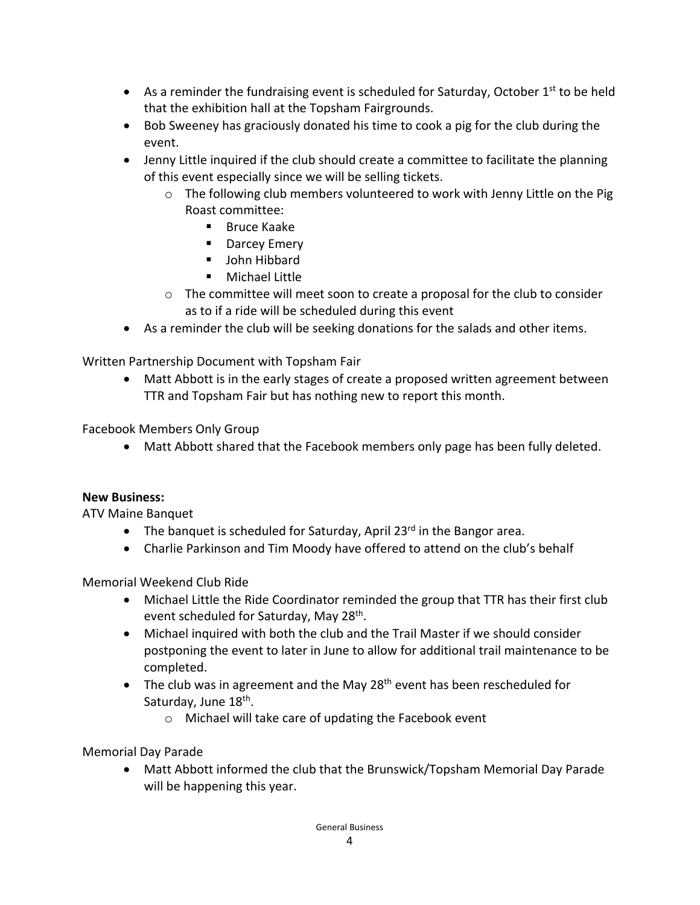- **•** As a reminder the fundraising event is scheduled for Saturday, October  $1<sup>st</sup>$  to be held that the exhibition hall at the Topsham Fairgrounds.
- Bob Sweeney has graciously donated his time to cook a pig for the club during the event.
- Jenny Little inquired if the club should create a committee to facilitate the planning of this event especially since we will be selling tickets.
	- $\circ$  The following club members volunteered to work with Jenny Little on the Pig Roast committee:
		- **Bruce Kaake**
		- **Darcey Emery**
		- **John Hibbard**
		- **Nichael Little**
	- $\circ$  The committee will meet soon to create a proposal for the club to consider as to if a ride will be scheduled during this event
- As a reminder the club will be seeking donations for the salads and other items.

Written Partnership Document with Topsham Fair

 Matt Abbott is in the early stages of create a proposed written agreement between TTR and Topsham Fair but has nothing new to report this month.

Facebook Members Only Group

Matt Abbott shared that the Facebook members only page has been fully deleted.

#### **New Business:**

ATV Maine Banquet

- $\bullet$  The banquet is scheduled for Saturday, April 23<sup>rd</sup> in the Bangor area.
- Charlie Parkinson and Tim Moody have offered to attend on the club's behalf

Memorial Weekend Club Ride

- Michael Little the Ride Coordinator reminded the group that TTR has their first club event scheduled for Saturday, May 28<sup>th</sup>.
- Michael inquired with both the club and the Trail Master if we should consider postponing the event to later in June to allow for additional trail maintenance to be completed.
- $\bullet$  The club was in agreement and the May 28<sup>th</sup> event has been rescheduled for Saturday, June 18<sup>th</sup>.
	- o Michael will take care of updating the Facebook event

Memorial Day Parade

 Matt Abbott informed the club that the Brunswick/Topsham Memorial Day Parade will be happening this year.